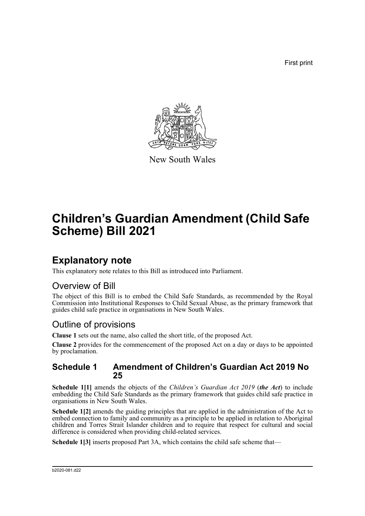First print



New South Wales

# **Children's Guardian Amendment (Child Safe Scheme) Bill 2021**

## **Explanatory note**

This explanatory note relates to this Bill as introduced into Parliament.

### Overview of Bill

The object of this Bill is to embed the Child Safe Standards, as recommended by the Royal Commission into Institutional Responses to Child Sexual Abuse, as the primary framework that guides child safe practice in organisations in New South Wales.

### Outline of provisions

**Clause 1** sets out the name, also called the short title, of the proposed Act.

**Clause 2** provides for the commencement of the proposed Act on a day or days to be appointed by proclamation.

#### **Schedule 1 Amendment of Children's Guardian Act 2019 No 25**

**Schedule 1[1]** amends the objects of the *Children's Guardian Act 2019* (*the Act*) to include embedding the Child Safe Standards as the primary framework that guides child safe practice in organisations in New South Wales.

**Schedule 1[2]** amends the guiding principles that are applied in the administration of the Act to embed connection to family and community as a principle to be applied in relation to Aboriginal children and Torres Strait Islander children and to require that respect for cultural and social difference is considered when providing child-related services.

**Schedule 1[3]** inserts proposed Part 3A, which contains the child safe scheme that—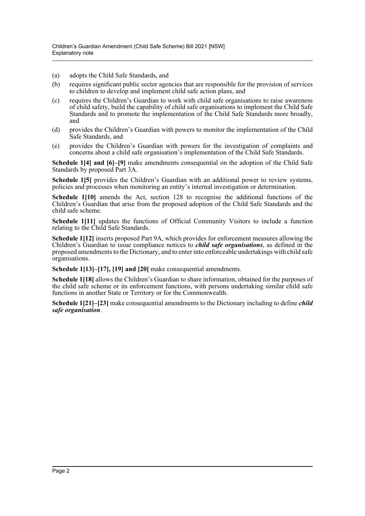- (a) adopts the Child Safe Standards, and
- (b) requires significant public sector agencies that are responsible for the provision of services to children to develop and implement child safe action plans, and
- (c) requires the Children's Guardian to work with child safe organisations to raise awareness of child safety, build the capability of child safe organisations to implement the Child Safe Standards and to promote the implementation of the Child Safe Standards more broadly, and
- (d) provides the Children's Guardian with powers to monitor the implementation of the Child Safe Standards, and
- (e) provides the Children's Guardian with powers for the investigation of complaints and concerns about a child safe organisation's implementation of the Child Safe Standards.

**Schedule 1[4] and [6]–[9]** make amendments consequential on the adoption of the Child Safe Standards by proposed Part 3A.

**Schedule 1[5]** provides the Children's Guardian with an additional power to review systems, policies and processes when monitoring an entity's internal investigation or determination.

**Schedule 1[10]** amends the Act, section 128 to recognise the additional functions of the Children's Guardian that arise from the proposed adoption of the Child Safe Standards and the child safe scheme.

**Schedule 1[11]** updates the functions of Official Community Visitors to include a function relating to the Child Safe Standards.

**Schedule 1[12]** inserts proposed Part 9A, which provides for enforcement measures allowing the Children's Guardian to issue compliance notices to *child safe organisations*, as defined in the proposed amendments to the Dictionary, and to enter into enforceable undertakings with child safe organisations.

**Schedule 1[13]–[17], [19] and [20]** make consequential amendments.

**Schedule 1[18]** allows the Children's Guardian to share information, obtained for the purposes of the child safe scheme or its enforcement functions, with persons undertaking similar child safe functions in another State or Territory or for the Commonwealth.

**Schedule 1[21]–[23]** make consequential amendments to the Dictionary including to define *child safe organisation*.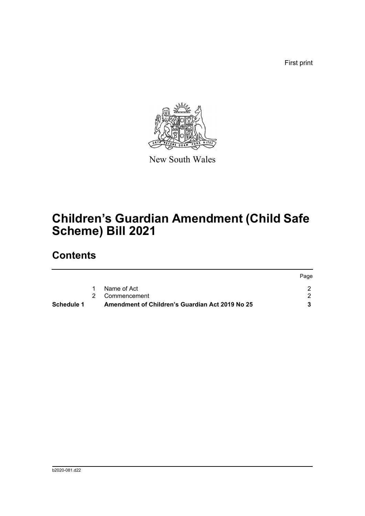First print



New South Wales

# **Children's Guardian Amendment (Child Safe Scheme) Bill 2021**

## **Contents**

| Schedule 1 | Amendment of Children's Guardian Act 2019 No 25 |      |
|------------|-------------------------------------------------|------|
|            | 2 Commencement                                  |      |
|            | Name of Act                                     |      |
|            |                                                 | Page |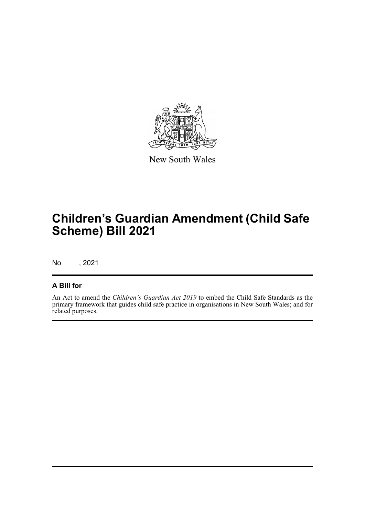

New South Wales

# **Children's Guardian Amendment (Child Safe Scheme) Bill 2021**

No , 2021

#### **A Bill for**

An Act to amend the *Children's Guardian Act 2019* to embed the Child Safe Standards as the primary framework that guides child safe practice in organisations in New South Wales; and for related purposes.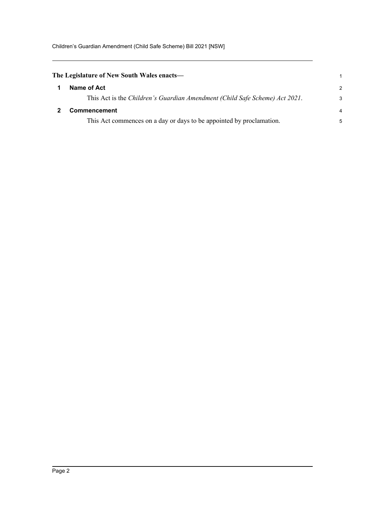<span id="page-4-1"></span><span id="page-4-0"></span>

| The Legislature of New South Wales enacts— |                                                                             |                |  |  |  |  |  |
|--------------------------------------------|-----------------------------------------------------------------------------|----------------|--|--|--|--|--|
|                                            | Name of Act                                                                 | $\mathcal{P}$  |  |  |  |  |  |
|                                            | This Act is the Children's Guardian Amendment (Child Safe Scheme) Act 2021. | 3              |  |  |  |  |  |
|                                            | <b>Commencement</b>                                                         | $\overline{4}$ |  |  |  |  |  |
|                                            | This Act commences on a day or days to be appointed by proclamation.        | 5              |  |  |  |  |  |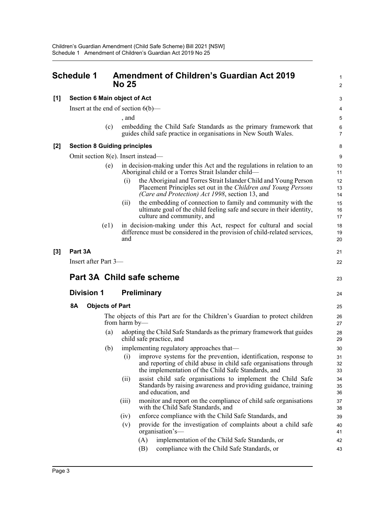<span id="page-5-0"></span>

|       | <b>Schedule 1</b>         |                                     |                        | <b>No 25</b>  |                                       | <b>Amendment of Children's Guardian Act 2019</b>                                                                                                                                           | 1<br>2              |
|-------|---------------------------|-------------------------------------|------------------------|---------------|---------------------------------------|--------------------------------------------------------------------------------------------------------------------------------------------------------------------------------------------|---------------------|
| [1]   |                           | <b>Section 6 Main object of Act</b> |                        |               |                                       |                                                                                                                                                                                            | 3                   |
|       |                           |                                     |                        |               | Insert at the end of section $6(b)$ — |                                                                                                                                                                                            | 4                   |
|       |                           |                                     |                        | , and         |                                       |                                                                                                                                                                                            | 5                   |
|       |                           |                                     | (c)                    |               |                                       | embedding the Child Safe Standards as the primary framework that<br>guides child safe practice in organisations in New South Wales.                                                        | 6<br>$\overline{7}$ |
| $[2]$ |                           | <b>Section 8 Guiding principles</b> |                        |               |                                       |                                                                                                                                                                                            | 8                   |
|       |                           |                                     |                        |               | Omit section 8(e). Insert instead—    |                                                                                                                                                                                            | 9                   |
|       |                           |                                     | (e)                    |               |                                       | in decision-making under this Act and the regulations in relation to an<br>Aboriginal child or a Torres Strait Islander child—                                                             | 10<br>11            |
|       |                           |                                     |                        | (i)           |                                       | the Aboriginal and Torres Strait Islander Child and Young Person<br>Placement Principles set out in the Children and Young Persons<br>(Care and Protection) Act 1998, section 13, and      | 12<br>13<br>14      |
|       |                           |                                     |                        | (i)           |                                       | the embedding of connection to family and community with the<br>ultimate goal of the child feeling safe and secure in their identity,<br>culture and community, and                        | 15<br>16<br>17      |
|       |                           |                                     | (e1)                   | and           |                                       | in decision-making under this Act, respect for cultural and social<br>difference must be considered in the provision of child-related services,                                            | 18<br>19<br>20      |
| [3]   | Part 3A                   |                                     |                        |               |                                       |                                                                                                                                                                                            | 21                  |
|       |                           | Insert after Part 3-                |                        |               |                                       |                                                                                                                                                                                            | 22                  |
|       | Part 3A Child safe scheme |                                     |                        |               |                                       |                                                                                                                                                                                            |                     |
|       | <b>Division 1</b>         |                                     |                        |               | <b>Preliminary</b>                    |                                                                                                                                                                                            | 24                  |
|       | 8Α                        |                                     | <b>Objects of Part</b> |               |                                       |                                                                                                                                                                                            | 25                  |
|       |                           |                                     |                        | from harm by— |                                       | The objects of this Part are for the Children's Guardian to protect children                                                                                                               | 26<br>27            |
|       |                           |                                     | (a)                    |               |                                       | adopting the Child Safe Standards as the primary framework that guides<br>child safe practice, and                                                                                         | 28<br>29            |
|       |                           |                                     | (b)                    |               |                                       | implementing regulatory approaches that-                                                                                                                                                   | 30                  |
|       |                           |                                     |                        | (i)           |                                       | improve systems for the prevention, identification, response to<br>and reporting of child abuse in child safe organisations through<br>the implementation of the Child Safe Standards, and | 31<br>32<br>33      |
|       |                           |                                     |                        | (i)           |                                       | assist child safe organisations to implement the Child Safe<br>Standards by raising awareness and providing guidance, training<br>and education, and                                       | 34<br>35<br>36      |
|       |                           |                                     |                        | (iii)         |                                       | monitor and report on the compliance of child safe organisations<br>with the Child Safe Standards, and                                                                                     | 37<br>38            |
|       |                           |                                     |                        | (iv)          |                                       | enforce compliance with the Child Safe Standards, and                                                                                                                                      | 39                  |
|       |                           |                                     |                        | (v)           |                                       | provide for the investigation of complaints about a child safe<br>organisation's-                                                                                                          | 40<br>41            |
|       |                           |                                     |                        |               | (A)                                   | implementation of the Child Safe Standards, or                                                                                                                                             | 42                  |
|       |                           |                                     |                        |               | (B)                                   | compliance with the Child Safe Standards, or                                                                                                                                               | 43                  |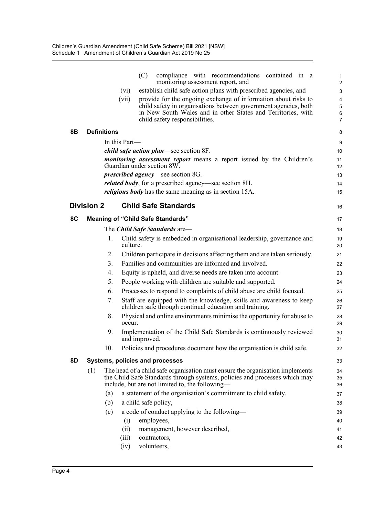|    |                    |               | (C)           | compliance with recommendations contained in a<br>monitoring assessment report, and                                                                                                                            | 1<br>$\overline{2}$ |
|----|--------------------|---------------|---------------|----------------------------------------------------------------------------------------------------------------------------------------------------------------------------------------------------------------|---------------------|
|    |                    | (vi)          |               | establish child safe action plans with prescribed agencies, and                                                                                                                                                | 3                   |
|    |                    | (vii)         |               | provide for the ongoing exchange of information about risks to                                                                                                                                                 | 4                   |
|    |                    |               |               | child safety in organisations between government agencies, both                                                                                                                                                | 5                   |
|    |                    |               |               | in New South Wales and in other States and Territories, with<br>child safety responsibilities.                                                                                                                 | 6<br>7              |
| 8Β | <b>Definitions</b> |               |               |                                                                                                                                                                                                                | 8                   |
|    |                    | In this Part— |               |                                                                                                                                                                                                                | 9                   |
|    |                    |               |               | <i>child safe action plan—see section 8F.</i>                                                                                                                                                                  | 10                  |
|    |                    |               |               | <i>monitoring assessment report</i> means a report issued by the Children's<br>Guardian under section 8W.                                                                                                      | 11<br>12            |
|    |                    |               |               | <i>prescribed agency</i> —see section 8G.                                                                                                                                                                      | 13                  |
|    |                    |               |               | <i>related body</i> , for a prescribed agency—see section 8H.                                                                                                                                                  | 14                  |
|    |                    |               |               | <i>religious body</i> has the same meaning as in section 15A.                                                                                                                                                  | 15                  |
|    | <b>Division 2</b>  |               |               | <b>Child Safe Standards</b>                                                                                                                                                                                    | 16                  |
| 8C |                    |               |               | <b>Meaning of "Child Safe Standards"</b>                                                                                                                                                                       | 17                  |
|    |                    |               |               | The <i>Child Safe Standards</i> are-                                                                                                                                                                           | 18                  |
|    | 1.                 | culture.      |               | Child safety is embedded in organisational leadership, governance and                                                                                                                                          | 19<br>20            |
|    | 2.                 |               |               | Children participate in decisions affecting them and are taken seriously.                                                                                                                                      | 21                  |
|    | 3.                 |               |               | Families and communities are informed and involved.                                                                                                                                                            | 22                  |
|    | 4.                 |               |               | Equity is upheld, and diverse needs are taken into account.                                                                                                                                                    | 23                  |
|    | 5.                 |               |               | People working with children are suitable and supported.                                                                                                                                                       | 24                  |
|    | 6.                 |               |               | Processes to respond to complaints of child abuse are child focused.                                                                                                                                           | 25                  |
|    | 7.                 |               |               | Staff are equipped with the knowledge, skills and awareness to keep<br>children safe through continual education and training.                                                                                 | 26<br>27            |
|    | 8.                 | occur.        |               | Physical and online environments minimise the opportunity for abuse to                                                                                                                                         | 28<br>29            |
|    | 9.                 |               | and improved. | Implementation of the Child Safe Standards is continuously reviewed                                                                                                                                            | 30<br>31            |
|    | 10.                |               |               | Policies and procedures document how the organisation is child safe.                                                                                                                                           | 32                  |
| 8D |                    |               |               | Systems, policies and processes                                                                                                                                                                                | 33                  |
|    | (1)                |               |               | The head of a child safe organisation must ensure the organisation implements<br>the Child Safe Standards through systems, policies and processes which may<br>include, but are not limited to, the following- | 34<br>35<br>36      |
|    | (a)                |               |               | a statement of the organisation's commitment to child safety,                                                                                                                                                  | 37                  |
|    | (b)                |               |               | a child safe policy,                                                                                                                                                                                           | 38                  |
|    | (c)                |               |               | a code of conduct applying to the following—                                                                                                                                                                   | 39                  |
|    |                    | (i)           |               | employees,                                                                                                                                                                                                     | 40                  |
|    |                    | (ii)          |               | management, however described,                                                                                                                                                                                 | 41                  |
|    |                    | (iii)         |               | contractors,                                                                                                                                                                                                   | 42                  |
|    |                    | (iv)          |               | volunteers,                                                                                                                                                                                                    | 43                  |
|    |                    |               |               |                                                                                                                                                                                                                |                     |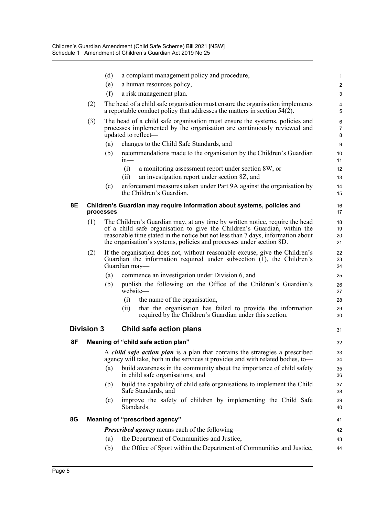|    |                   | (d)       | a complaint management policy and procedure,                                                                                                                                                                                                                                                                         | 1                    |
|----|-------------------|-----------|----------------------------------------------------------------------------------------------------------------------------------------------------------------------------------------------------------------------------------------------------------------------------------------------------------------------|----------------------|
|    |                   | (e)       | a human resources policy,                                                                                                                                                                                                                                                                                            | $\overline{c}$       |
|    |                   | (f)       | a risk management plan.                                                                                                                                                                                                                                                                                              | 3                    |
|    | (2)               |           | The head of a child safe organisation must ensure the organisation implements<br>a reportable conduct policy that addresses the matters in section 54(2).                                                                                                                                                            | 4<br>5               |
|    | (3)               |           | The head of a child safe organisation must ensure the systems, policies and<br>processes implemented by the organisation are continuously reviewed and<br>updated to reflect—                                                                                                                                        | 6<br>7<br>8          |
|    |                   | (a)       | changes to the Child Safe Standards, and                                                                                                                                                                                                                                                                             | 9                    |
|    |                   | (b)       | recommendations made to the organisation by the Children's Guardian<br>$1n$ —                                                                                                                                                                                                                                        | 10<br>11             |
|    |                   |           | (i)<br>a monitoring assessment report under section 8W, or                                                                                                                                                                                                                                                           | 12                   |
|    |                   |           | an investigation report under section 8Z, and<br>(ii)                                                                                                                                                                                                                                                                | 13                   |
|    |                   | (c)       | enforcement measures taken under Part 9A against the organisation by<br>the Children's Guardian.                                                                                                                                                                                                                     | 14<br>15             |
| 8E |                   | processes | Children's Guardian may require information about systems, policies and                                                                                                                                                                                                                                              | 16<br>17             |
|    | (1)               |           | The Children's Guardian may, at any time by written notice, require the head<br>of a child safe organisation to give the Children's Guardian, within the<br>reasonable time stated in the notice but not less than 7 days, information about<br>the organisation's systems, policies and processes under section 8D. | 18<br>19<br>20<br>21 |
|    | (2)               |           | If the organisation does not, without reasonable excuse, give the Children's<br>Guardian the information required under subsection (1), the Children's<br>Guardian may-                                                                                                                                              | 22<br>23<br>24       |
|    |                   | (a)       | commence an investigation under Division 6, and                                                                                                                                                                                                                                                                      | 25                   |
|    |                   | (b)       | publish the following on the Office of the Children's Guardian's<br>website-                                                                                                                                                                                                                                         | 26<br>27             |
|    |                   |           | (i)<br>the name of the organisation,                                                                                                                                                                                                                                                                                 | 28                   |
|    |                   |           | (ii)<br>that the organisation has failed to provide the information<br>required by the Children's Guardian under this section.                                                                                                                                                                                       | 29<br>30             |
|    | <b>Division 3</b> |           | Child safe action plans                                                                                                                                                                                                                                                                                              | 31                   |
| 8F |                   |           | Meaning of "child safe action plan"                                                                                                                                                                                                                                                                                  | 32                   |
|    |                   |           | A <i>child safe action plan</i> is a plan that contains the strategies a prescribed<br>agency will take, both in the services it provides and with related bodies, to-                                                                                                                                               | 33<br>34             |
|    |                   | (a)       | build awareness in the community about the importance of child safety<br>in child safe organisations, and                                                                                                                                                                                                            | 35<br>36             |
|    |                   | (b)       | build the capability of child safe organisations to implement the Child<br>Safe Standards, and                                                                                                                                                                                                                       | 37<br>38             |
|    |                   | (c)       | improve the safety of children by implementing the Child Safe<br>Standards.                                                                                                                                                                                                                                          | 39<br>40             |
| 8G |                   |           | Meaning of "prescribed agency"                                                                                                                                                                                                                                                                                       | 41                   |
|    |                   |           | <b>Prescribed agency</b> means each of the following—                                                                                                                                                                                                                                                                | 42                   |
|    |                   | (a)       | the Department of Communities and Justice,                                                                                                                                                                                                                                                                           | 43                   |
|    |                   | (b)       | the Office of Sport within the Department of Communities and Justice,                                                                                                                                                                                                                                                | 44                   |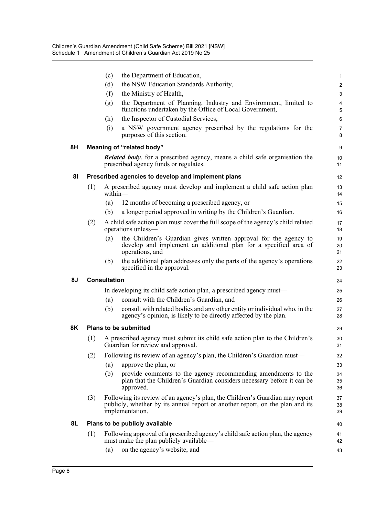|    |     | (c)                                                                                                                                                                              | the Department of Education,                                                                                                                            | $\mathbf{1}$        |  |  |  |  |
|----|-----|----------------------------------------------------------------------------------------------------------------------------------------------------------------------------------|---------------------------------------------------------------------------------------------------------------------------------------------------------|---------------------|--|--|--|--|
|    |     | (d)                                                                                                                                                                              | the NSW Education Standards Authority,                                                                                                                  | $\overline{c}$      |  |  |  |  |
|    |     | (f)                                                                                                                                                                              | the Ministry of Health,                                                                                                                                 | 3                   |  |  |  |  |
|    |     | (g)                                                                                                                                                                              | the Department of Planning, Industry and Environment, limited to<br>functions undertaken by the Office of Local Government,                             | 4<br>5              |  |  |  |  |
|    |     | (h)                                                                                                                                                                              | the Inspector of Custodial Services,                                                                                                                    | 6                   |  |  |  |  |
|    |     | (i)                                                                                                                                                                              | a NSW government agency prescribed by the regulations for the<br>purposes of this section.                                                              | $\overline{7}$<br>8 |  |  |  |  |
| 8H |     |                                                                                                                                                                                  | Meaning of "related body"                                                                                                                               | 9                   |  |  |  |  |
|    |     |                                                                                                                                                                                  | <b>Related body</b> , for a prescribed agency, means a child safe organisation the<br>prescribed agency funds or regulates.                             | 10<br>11            |  |  |  |  |
| 81 |     |                                                                                                                                                                                  | Prescribed agencies to develop and implement plans                                                                                                      | 12 <sup>2</sup>     |  |  |  |  |
|    | (1) | $within-$                                                                                                                                                                        | A prescribed agency must develop and implement a child safe action plan                                                                                 | 13<br>14            |  |  |  |  |
|    |     | (a)                                                                                                                                                                              | 12 months of becoming a prescribed agency, or                                                                                                           | 15                  |  |  |  |  |
|    |     | (b)                                                                                                                                                                              | a longer period approved in writing by the Children's Guardian.                                                                                         | 16                  |  |  |  |  |
|    | (2) |                                                                                                                                                                                  | A child safe action plan must cover the full scope of the agency's child related<br>operations unless—                                                  | 17<br>18            |  |  |  |  |
|    |     | (a)                                                                                                                                                                              | the Children's Guardian gives written approval for the agency to<br>develop and implement an additional plan for a specified area of<br>operations, and | 19<br>20<br>21      |  |  |  |  |
|    |     | (b)                                                                                                                                                                              | the additional plan addresses only the parts of the agency's operations<br>specified in the approval.                                                   | 22<br>23            |  |  |  |  |
| 8J |     | <b>Consultation</b>                                                                                                                                                              |                                                                                                                                                         | 24                  |  |  |  |  |
|    |     |                                                                                                                                                                                  | In developing its child safe action plan, a prescribed agency must—                                                                                     | 25                  |  |  |  |  |
|    |     | (a)                                                                                                                                                                              | consult with the Children's Guardian, and                                                                                                               | 26                  |  |  |  |  |
|    |     | (b)                                                                                                                                                                              | consult with related bodies and any other entity or individual who, in the<br>agency's opinion, is likely to be directly affected by the plan.          | 27<br>28            |  |  |  |  |
| 8K |     |                                                                                                                                                                                  | <b>Plans to be submitted</b>                                                                                                                            | 29                  |  |  |  |  |
|    | (1) |                                                                                                                                                                                  | A prescribed agency must submit its child safe action plan to the Children's<br>Guardian for review and approval.                                       | 30<br>31            |  |  |  |  |
|    | (2) |                                                                                                                                                                                  | Following its review of an agency's plan, the Children's Guardian must—                                                                                 | 32                  |  |  |  |  |
|    |     | (a)                                                                                                                                                                              | approve the plan, or                                                                                                                                    | 33                  |  |  |  |  |
|    |     | (b)                                                                                                                                                                              | provide comments to the agency recommending amendments to the<br>plan that the Children's Guardian considers necessary before it can be<br>approved.    | 34<br>35<br>36      |  |  |  |  |
|    | (3) | Following its review of an agency's plan, the Children's Guardian may report<br>publicly, whether by its annual report or another report, on the plan and its<br>implementation. |                                                                                                                                                         |                     |  |  |  |  |
| 8L |     |                                                                                                                                                                                  | Plans to be publicly available                                                                                                                          | 40                  |  |  |  |  |
|    | (1) |                                                                                                                                                                                  | Following approval of a prescribed agency's child safe action plan, the agency<br>must make the plan publicly available—                                | 41<br>42            |  |  |  |  |
|    |     | (a)                                                                                                                                                                              | on the agency's website, and                                                                                                                            | 43                  |  |  |  |  |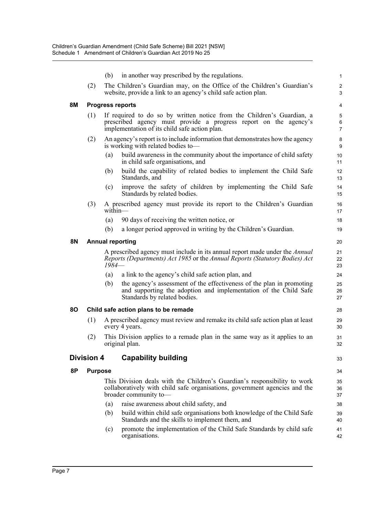|    |                                                                                                                                                                                                    | (b)     | in another way prescribed by the regulations.                                                                                                                                    | 1                            |  |  |  |  |
|----|----------------------------------------------------------------------------------------------------------------------------------------------------------------------------------------------------|---------|----------------------------------------------------------------------------------------------------------------------------------------------------------------------------------|------------------------------|--|--|--|--|
|    | (2)                                                                                                                                                                                                |         | The Children's Guardian may, on the Office of the Children's Guardian's<br>website, provide a link to an agency's child safe action plan.                                        | $\overline{\mathbf{c}}$<br>3 |  |  |  |  |
| 8M |                                                                                                                                                                                                    |         | <b>Progress reports</b>                                                                                                                                                          | 4                            |  |  |  |  |
|    | If required to do so by written notice from the Children's Guardian, a<br>(1)<br>prescribed agency must provide a progress report on the agency's<br>implementation of its child safe action plan. |         |                                                                                                                                                                                  |                              |  |  |  |  |
|    | (2)                                                                                                                                                                                                |         | An agency's report is to include information that demonstrates how the agency<br>is working with related bodies to-                                                              | 8<br>9                       |  |  |  |  |
|    |                                                                                                                                                                                                    | (a)     | build awareness in the community about the importance of child safety<br>in child safe organisations, and                                                                        | 10<br>11                     |  |  |  |  |
|    |                                                                                                                                                                                                    | (b)     | build the capability of related bodies to implement the Child Safe<br>Standards, and                                                                                             | 12<br>13                     |  |  |  |  |
|    |                                                                                                                                                                                                    | (c)     | improve the safety of children by implementing the Child Safe<br>Standards by related bodies.                                                                                    | 14<br>15                     |  |  |  |  |
|    | (3)                                                                                                                                                                                                | within- | A prescribed agency must provide its report to the Children's Guardian                                                                                                           | 16<br>17                     |  |  |  |  |
|    |                                                                                                                                                                                                    | (a)     | 90 days of receiving the written notice, or                                                                                                                                      | 18                           |  |  |  |  |
|    |                                                                                                                                                                                                    | (b)     | a longer period approved in writing by the Children's Guardian.                                                                                                                  | 19                           |  |  |  |  |
| 8N |                                                                                                                                                                                                    |         | <b>Annual reporting</b>                                                                                                                                                          | 20                           |  |  |  |  |
|    |                                                                                                                                                                                                    | 1984—   | A prescribed agency must include in its annual report made under the <i>Annual</i><br>Reports (Departments) Act 1985 or the Annual Reports (Statutory Bodies) Act                | 21<br>22<br>23               |  |  |  |  |
|    |                                                                                                                                                                                                    | (a)     | a link to the agency's child safe action plan, and                                                                                                                               | 24                           |  |  |  |  |
|    |                                                                                                                                                                                                    | (b)     | the agency's assessment of the effectiveness of the plan in promoting<br>and supporting the adoption and implementation of the Child Safe<br>Standards by related bodies.        | 25<br>26<br>27               |  |  |  |  |
| 80 |                                                                                                                                                                                                    |         | Child safe action plans to be remade                                                                                                                                             | 28                           |  |  |  |  |
|    | (1)                                                                                                                                                                                                |         | A prescribed agency must review and remake its child safe action plan at least<br>every 4 years.                                                                                 | 29<br>30                     |  |  |  |  |
|    | (2)                                                                                                                                                                                                |         | This Division applies to a remade plan in the same way as it applies to an<br>original plan.                                                                                     | 31<br>32                     |  |  |  |  |
|    | <b>Division 4</b>                                                                                                                                                                                  |         | <b>Capability building</b>                                                                                                                                                       | 33                           |  |  |  |  |
| 8P | <b>Purpose</b>                                                                                                                                                                                     |         |                                                                                                                                                                                  | 34                           |  |  |  |  |
|    |                                                                                                                                                                                                    |         | This Division deals with the Children's Guardian's responsibility to work<br>collaboratively with child safe organisations, government agencies and the<br>broader community to- | 35<br>36<br>37               |  |  |  |  |
|    |                                                                                                                                                                                                    | (a)     | raise awareness about child safety, and                                                                                                                                          | 38                           |  |  |  |  |
|    |                                                                                                                                                                                                    | (b)     | build within child safe organisations both knowledge of the Child Safe<br>Standards and the skills to implement them, and                                                        | 39<br>40                     |  |  |  |  |
|    |                                                                                                                                                                                                    | (c)     | promote the implementation of the Child Safe Standards by child safe<br>organisations.                                                                                           | 41<br>42                     |  |  |  |  |
|    |                                                                                                                                                                                                    |         |                                                                                                                                                                                  |                              |  |  |  |  |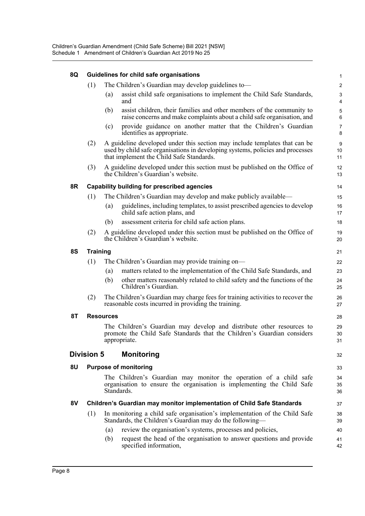| 8Q | Guidelines for child safe organisations |                                                                                                                                                                                                          |                                |  |  |
|----|-----------------------------------------|----------------------------------------------------------------------------------------------------------------------------------------------------------------------------------------------------------|--------------------------------|--|--|
|    | (1)                                     | The Children's Guardian may develop guidelines to-                                                                                                                                                       | $\overline{c}$                 |  |  |
|    |                                         | assist child safe organisations to implement the Child Safe Standards,<br>(a)<br>and                                                                                                                     | $\ensuremath{\mathsf{3}}$<br>4 |  |  |
|    |                                         | assist children, their families and other members of the community to<br>(b)<br>raise concerns and make complaints about a child safe organisation, and                                                  | $\mathbf 5$<br>6               |  |  |
|    |                                         | provide guidance on another matter that the Children's Guardian<br>(c)<br>identifies as appropriate.                                                                                                     | $\overline{7}$<br>8            |  |  |
|    | (2)                                     | A guideline developed under this section may include templates that can be<br>used by child safe organisations in developing systems, policies and processes<br>that implement the Child Safe Standards. | $\boldsymbol{9}$<br>10<br>11   |  |  |
|    | (3)                                     | A guideline developed under this section must be published on the Office of<br>the Children's Guardian's website.                                                                                        | 12<br>13                       |  |  |
| 8R |                                         | <b>Capability building for prescribed agencies</b>                                                                                                                                                       | 14                             |  |  |
|    | (1)                                     | The Children's Guardian may develop and make publicly available—                                                                                                                                         | 15                             |  |  |
|    |                                         | guidelines, including templates, to assist prescribed agencies to develop<br>(a)<br>child safe action plans, and                                                                                         | 16<br>17                       |  |  |
|    |                                         | assessment criteria for child safe action plans.<br>(b)                                                                                                                                                  | 18                             |  |  |
|    | (2)                                     | A guideline developed under this section must be published on the Office of<br>the Children's Guardian's website.                                                                                        | 19<br>20                       |  |  |
| 8S | <b>Training</b>                         |                                                                                                                                                                                                          | 21                             |  |  |
|    | (1)                                     | The Children's Guardian may provide training on-                                                                                                                                                         | 22                             |  |  |
|    |                                         | matters related to the implementation of the Child Safe Standards, and<br>(a)                                                                                                                            | 23                             |  |  |
|    |                                         | other matters reasonably related to child safety and the functions of the<br>(b)<br>Children's Guardian.                                                                                                 | 24<br>25                       |  |  |
|    | (2)                                     | The Children's Guardian may charge fees for training activities to recover the<br>reasonable costs incurred in providing the training.                                                                   | 26<br>27                       |  |  |
| 8T |                                         | <b>Resources</b>                                                                                                                                                                                         | 28                             |  |  |
|    |                                         | The Children's Guardian may develop and distribute other resources to<br>promote the Child Safe Standards that the Children's Guardian considers<br>appropriate.                                         | 29<br>30<br>31                 |  |  |
|    | <b>Division 5</b>                       | <b>Monitoring</b>                                                                                                                                                                                        | 32                             |  |  |
| 8U |                                         | <b>Purpose of monitoring</b>                                                                                                                                                                             | 33                             |  |  |
|    |                                         | The Children's Guardian may monitor the operation of a child safe<br>organisation to ensure the organisation is implementing the Child Safe<br>Standards.                                                | 34<br>35<br>36                 |  |  |
| 8V |                                         | Children's Guardian may monitor implementation of Child Safe Standards                                                                                                                                   | 37                             |  |  |
|    | (1)                                     | In monitoring a child safe organisation's implementation of the Child Safe<br>Standards, the Children's Guardian may do the following-                                                                   | 38<br>39                       |  |  |
|    |                                         | review the organisation's systems, processes and policies,<br>(a)                                                                                                                                        | 40                             |  |  |
|    |                                         | request the head of the organisation to answer questions and provide<br>(b)<br>specified information,                                                                                                    | 41<br>42                       |  |  |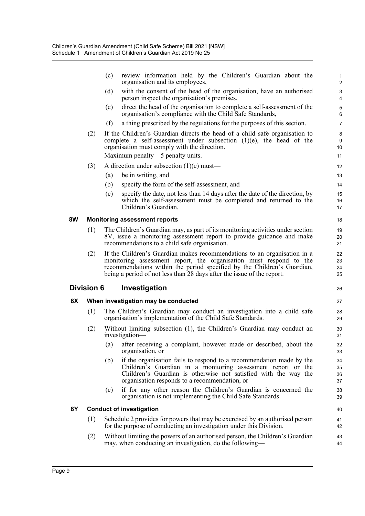|           |                   | (c)<br>organisation and its employees,              | review information held by the Children's Guardian about the                                                                                                                                                                                                                                        | 1<br>$\overline{2}$  |
|-----------|-------------------|-----------------------------------------------------|-----------------------------------------------------------------------------------------------------------------------------------------------------------------------------------------------------------------------------------------------------------------------------------------------------|----------------------|
|           |                   | (d)<br>person inspect the organisation's premises,  | with the consent of the head of the organisation, have an authorised                                                                                                                                                                                                                                | 3<br>4               |
|           |                   | (e)                                                 | direct the head of the organisation to complete a self-assessment of the<br>organisation's compliance with the Child Safe Standards,                                                                                                                                                                | 5<br>6               |
|           |                   | (f)                                                 | a thing prescribed by the regulations for the purposes of this section.                                                                                                                                                                                                                             | $\overline{7}$       |
|           | (2)               | organisation must comply with the direction.        | If the Children's Guardian directs the head of a child safe organisation to<br>complete a self-assessment under subsection $(1)(e)$ , the head of the                                                                                                                                               | 8<br>9<br>10         |
|           |                   | Maximum penalty—5 penalty units.                    |                                                                                                                                                                                                                                                                                                     | 11                   |
|           | (3)               | A direction under subsection $(1)(e)$ must—         |                                                                                                                                                                                                                                                                                                     | 12                   |
|           |                   | be in writing, and<br>(a)                           |                                                                                                                                                                                                                                                                                                     | 13                   |
|           |                   | (b)<br>specify the form of the self-assessment, and |                                                                                                                                                                                                                                                                                                     | 14                   |
|           |                   | (c)<br>Children's Guardian.                         | specify the date, not less than 14 days after the date of the direction, by<br>which the self-assessment must be completed and returned to the                                                                                                                                                      | 15<br>16<br>17       |
| 8W        |                   | <b>Monitoring assessment reports</b>                |                                                                                                                                                                                                                                                                                                     | 18                   |
|           | (1)               | recommendations to a child safe organisation.       | The Children's Guardian may, as part of its monitoring activities under section<br>8V, issue a monitoring assessment report to provide guidance and make                                                                                                                                            | 19<br>20<br>21       |
|           | (2)               |                                                     | If the Children's Guardian makes recommendations to an organisation in a<br>monitoring assessment report, the organisation must respond to the<br>recommendations within the period specified by the Children's Guardian,<br>being a period of not less than 28 days after the issue of the report. | 22<br>23<br>24<br>25 |
|           | <b>Division 6</b> | Investigation                                       |                                                                                                                                                                                                                                                                                                     | 26                   |
| 8X        |                   | When investigation may be conducted                 |                                                                                                                                                                                                                                                                                                     | 27                   |
|           | (1)               |                                                     | The Children's Guardian may conduct an investigation into a child safe<br>organisation's implementation of the Child Safe Standards.                                                                                                                                                                | 28<br>29             |
|           | (2)               | investigation-                                      | Without limiting subsection (1), the Children's Guardian may conduct an                                                                                                                                                                                                                             | 30<br>31             |
|           |                   | $\left( a\right)$<br>organisation, or               | after receiving a complaint, however made or described, about the                                                                                                                                                                                                                                   | 32<br>33             |
|           |                   | (b)                                                 | if the organisation fails to respond to a recommendation made by the<br>Children's Guardian in a monitoring assessment report or the<br>Children's Guardian is otherwise not satisfied with the way the<br>organisation responds to a recommendation, or                                            | 34<br>35<br>36<br>37 |
|           |                   | (c)                                                 | if for any other reason the Children's Guardian is concerned the<br>organisation is not implementing the Child Safe Standards.                                                                                                                                                                      | 38<br>39             |
| <b>8Y</b> |                   | <b>Conduct of investigation</b>                     |                                                                                                                                                                                                                                                                                                     | 40                   |
|           | (1)               |                                                     | Schedule 2 provides for powers that may be exercised by an authorised person<br>for the purpose of conducting an investigation under this Division.                                                                                                                                                 | 41<br>42             |
|           | (2)               |                                                     | Without limiting the powers of an authorised person, the Children's Guardian<br>may, when conducting an investigation, do the following—                                                                                                                                                            | 43<br>44             |
|           |                   |                                                     |                                                                                                                                                                                                                                                                                                     |                      |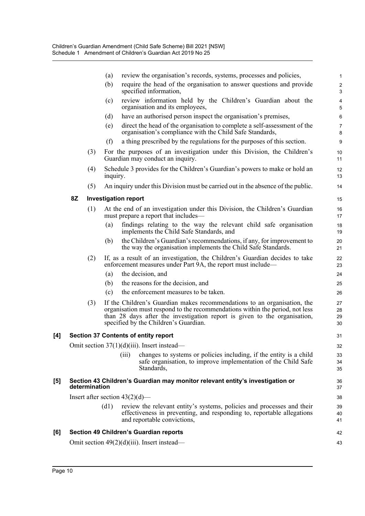|                   |    |               | (a)      | review the organisation's records, systems, processes and policies,                                                                                                                                                                                                            | $\mathbf{1}$               |
|-------------------|----|---------------|----------|--------------------------------------------------------------------------------------------------------------------------------------------------------------------------------------------------------------------------------------------------------------------------------|----------------------------|
|                   |    |               | (b)      | require the head of the organisation to answer questions and provide<br>specified information,                                                                                                                                                                                 | $\sqrt{2}$<br>$\mathbf{3}$ |
|                   |    |               | (c)      | review information held by the Children's Guardian about the<br>organisation and its employees,                                                                                                                                                                                | $\pmb{4}$<br>5             |
|                   |    |               | (d)      | have an authorised person inspect the organisation's premises,                                                                                                                                                                                                                 | 6                          |
|                   |    |               | (e)      | direct the head of the organisation to complete a self-assessment of the<br>organisation's compliance with the Child Safe Standards,                                                                                                                                           | $\overline{7}$<br>8        |
|                   |    |               | (f)      | a thing prescribed by the regulations for the purposes of this section.                                                                                                                                                                                                        | $\boldsymbol{9}$           |
|                   |    | (3)           |          | For the purposes of an investigation under this Division, the Children's<br>Guardian may conduct an inquiry.                                                                                                                                                                   | 10<br>11                   |
|                   |    | (4)           | inquiry. | Schedule 3 provides for the Children's Guardian's powers to make or hold an                                                                                                                                                                                                    | 12<br>13                   |
|                   |    | (5)           |          | An inquiry under this Division must be carried out in the absence of the public.                                                                                                                                                                                               | 14                         |
|                   | 8Z |               |          | <b>Investigation report</b>                                                                                                                                                                                                                                                    | 15                         |
|                   |    | (1)           |          | At the end of an investigation under this Division, the Children's Guardian<br>must prepare a report that includes—                                                                                                                                                            | 16<br>17                   |
|                   |    |               | (a)      | findings relating to the way the relevant child safe organisation<br>implements the Child Safe Standards, and                                                                                                                                                                  | 18<br>19                   |
|                   |    |               | (b)      | the Children's Guardian's recommendations, if any, for improvement to<br>the way the organisation implements the Child Safe Standards.                                                                                                                                         | 20<br>21                   |
|                   |    | (2)           |          | If, as a result of an investigation, the Children's Guardian decides to take<br>enforcement measures under Part 9A, the report must include—                                                                                                                                   | 22<br>23                   |
|                   |    |               | (a)      | the decision, and                                                                                                                                                                                                                                                              | 24                         |
|                   |    |               | (b)      | the reasons for the decision, and                                                                                                                                                                                                                                              | 25                         |
|                   |    |               | (c)      | the enforcement measures to be taken.                                                                                                                                                                                                                                          | 26                         |
|                   |    | (3)           |          | If the Children's Guardian makes recommendations to an organisation, the<br>organisation must respond to the recommendations within the period, not less<br>than 28 days after the investigation report is given to the organisation,<br>specified by the Children's Guardian. | 27<br>28<br>29<br>30       |
| [4]               |    |               |          | <b>Section 37 Contents of entity report</b>                                                                                                                                                                                                                                    | 31                         |
|                   |    |               |          | Omit section 37(1)(d)(iii). Insert instead-                                                                                                                                                                                                                                    | 32                         |
|                   |    |               |          | changes to systems or policies including, if the entity is a child<br>(iii)<br>safe organisation, to improve implementation of the Child Safe<br>Standards,                                                                                                                    | 33<br>34<br>35             |
| $\left[ 5\right]$ |    | determination |          | Section 43 Children's Guardian may monitor relevant entity's investigation or                                                                                                                                                                                                  | 36<br>37                   |
|                   |    |               |          | Insert after section $43(2)(d)$ —                                                                                                                                                                                                                                              | 38                         |
|                   |    |               | (d1)     | review the relevant entity's systems, policies and processes and their<br>effectiveness in preventing, and responding to, reportable allegations<br>and reportable convictions,                                                                                                | 39<br>40<br>41             |
| [6]               |    |               |          | <b>Section 49 Children's Guardian reports</b>                                                                                                                                                                                                                                  | 42                         |
|                   |    |               |          | Omit section $49(2)(d)(iii)$ . Insert instead—                                                                                                                                                                                                                                 | 43                         |
|                   |    |               |          |                                                                                                                                                                                                                                                                                |                            |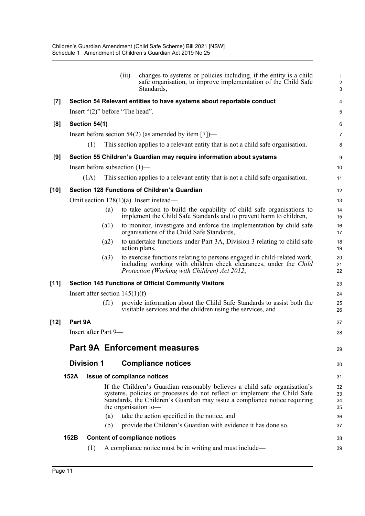| Section 54 Relevant entities to have systems about reportable conduct<br>$\left[7\right]$<br>Insert " $(2)$ " before "The head".<br>[8]<br>Section 54(1)<br>Insert before section $54(2)$ (as amended by item [7])—<br>(1)<br>This section applies to a relevant entity that is not a child safe organisation.<br>Section 55 Children's Guardian may require information about systems<br>[9]<br>Insert before subsection $(1)$ —<br>This section applies to a relevant entity that is not a child safe organisation.<br>(1A)<br><b>Section 128 Functions of Children's Guardian</b><br>[10]<br>Omit section $128(1)(a)$ . Insert instead—<br>to take action to build the capability of child safe organisations to<br>(a)<br>implement the Child Safe Standards and to prevent harm to children,<br>to monitor, investigate and enforce the implementation by child safe<br>(a1)<br>organisations of the Child Safe Standards,<br>to undertake functions under Part 3A, Division 3 relating to child safe<br>(a2)<br>action plans,<br>to exercise functions relating to persons engaged in child-related work,<br>(a3)<br>including working with children check clearances, under the Child<br>Protection (Working with Children) Act 2012,<br>$[11]$<br><b>Section 145 Functions of Official Community Visitors</b><br>Insert after section $145(1)(f)$ —<br>provide information about the Child Safe Standards to assist both the<br>(f1)<br>visitable services and the children using the services, and<br>Part 9A<br>[12]<br>Insert after Part 9-<br><b>Part 9A Enforcement measures</b><br><b>Division 1</b><br><b>Compliance notices</b><br>152A<br><b>Issue of compliance notices</b><br>If the Children's Guardian reasonably believes a child safe organisation's<br>systems, policies or processes do not reflect or implement the Child Safe<br>Standards, the Children's Guardian may issue a compliance notice requiring<br>the organisation to-<br>take the action specified in the notice, and<br>(a)<br>provide the Children's Guardian with evidence it has done so.<br>(b)<br>152B<br><b>Content of compliance notices</b><br>A compliance notice must be in writing and must include—<br>(1) |  |  | (iii) | changes to systems or policies including, if the entity is a child<br>safe organisation, to improve implementation of the Child Safe<br>Standards, | $\mathbf{1}$<br>$\overline{c}$<br>$\mathbf{3}$ |
|------------------------------------------------------------------------------------------------------------------------------------------------------------------------------------------------------------------------------------------------------------------------------------------------------------------------------------------------------------------------------------------------------------------------------------------------------------------------------------------------------------------------------------------------------------------------------------------------------------------------------------------------------------------------------------------------------------------------------------------------------------------------------------------------------------------------------------------------------------------------------------------------------------------------------------------------------------------------------------------------------------------------------------------------------------------------------------------------------------------------------------------------------------------------------------------------------------------------------------------------------------------------------------------------------------------------------------------------------------------------------------------------------------------------------------------------------------------------------------------------------------------------------------------------------------------------------------------------------------------------------------------------------------------------------------------------------------------------------------------------------------------------------------------------------------------------------------------------------------------------------------------------------------------------------------------------------------------------------------------------------------------------------------------------------------------------------------------------------------------------------------------------------------------------------------------------------------------|--|--|-------|----------------------------------------------------------------------------------------------------------------------------------------------------|------------------------------------------------|
|                                                                                                                                                                                                                                                                                                                                                                                                                                                                                                                                                                                                                                                                                                                                                                                                                                                                                                                                                                                                                                                                                                                                                                                                                                                                                                                                                                                                                                                                                                                                                                                                                                                                                                                                                                                                                                                                                                                                                                                                                                                                                                                                                                                                                  |  |  |       |                                                                                                                                                    | 4                                              |
|                                                                                                                                                                                                                                                                                                                                                                                                                                                                                                                                                                                                                                                                                                                                                                                                                                                                                                                                                                                                                                                                                                                                                                                                                                                                                                                                                                                                                                                                                                                                                                                                                                                                                                                                                                                                                                                                                                                                                                                                                                                                                                                                                                                                                  |  |  |       |                                                                                                                                                    | 5                                              |
|                                                                                                                                                                                                                                                                                                                                                                                                                                                                                                                                                                                                                                                                                                                                                                                                                                                                                                                                                                                                                                                                                                                                                                                                                                                                                                                                                                                                                                                                                                                                                                                                                                                                                                                                                                                                                                                                                                                                                                                                                                                                                                                                                                                                                  |  |  |       |                                                                                                                                                    | 6                                              |
|                                                                                                                                                                                                                                                                                                                                                                                                                                                                                                                                                                                                                                                                                                                                                                                                                                                                                                                                                                                                                                                                                                                                                                                                                                                                                                                                                                                                                                                                                                                                                                                                                                                                                                                                                                                                                                                                                                                                                                                                                                                                                                                                                                                                                  |  |  |       |                                                                                                                                                    | $\overline{7}$                                 |
|                                                                                                                                                                                                                                                                                                                                                                                                                                                                                                                                                                                                                                                                                                                                                                                                                                                                                                                                                                                                                                                                                                                                                                                                                                                                                                                                                                                                                                                                                                                                                                                                                                                                                                                                                                                                                                                                                                                                                                                                                                                                                                                                                                                                                  |  |  |       |                                                                                                                                                    | 8                                              |
|                                                                                                                                                                                                                                                                                                                                                                                                                                                                                                                                                                                                                                                                                                                                                                                                                                                                                                                                                                                                                                                                                                                                                                                                                                                                                                                                                                                                                                                                                                                                                                                                                                                                                                                                                                                                                                                                                                                                                                                                                                                                                                                                                                                                                  |  |  |       |                                                                                                                                                    | 9                                              |
|                                                                                                                                                                                                                                                                                                                                                                                                                                                                                                                                                                                                                                                                                                                                                                                                                                                                                                                                                                                                                                                                                                                                                                                                                                                                                                                                                                                                                                                                                                                                                                                                                                                                                                                                                                                                                                                                                                                                                                                                                                                                                                                                                                                                                  |  |  |       |                                                                                                                                                    | 10                                             |
|                                                                                                                                                                                                                                                                                                                                                                                                                                                                                                                                                                                                                                                                                                                                                                                                                                                                                                                                                                                                                                                                                                                                                                                                                                                                                                                                                                                                                                                                                                                                                                                                                                                                                                                                                                                                                                                                                                                                                                                                                                                                                                                                                                                                                  |  |  |       |                                                                                                                                                    | 11                                             |
|                                                                                                                                                                                                                                                                                                                                                                                                                                                                                                                                                                                                                                                                                                                                                                                                                                                                                                                                                                                                                                                                                                                                                                                                                                                                                                                                                                                                                                                                                                                                                                                                                                                                                                                                                                                                                                                                                                                                                                                                                                                                                                                                                                                                                  |  |  |       |                                                                                                                                                    | 12                                             |
|                                                                                                                                                                                                                                                                                                                                                                                                                                                                                                                                                                                                                                                                                                                                                                                                                                                                                                                                                                                                                                                                                                                                                                                                                                                                                                                                                                                                                                                                                                                                                                                                                                                                                                                                                                                                                                                                                                                                                                                                                                                                                                                                                                                                                  |  |  |       |                                                                                                                                                    | 13                                             |
|                                                                                                                                                                                                                                                                                                                                                                                                                                                                                                                                                                                                                                                                                                                                                                                                                                                                                                                                                                                                                                                                                                                                                                                                                                                                                                                                                                                                                                                                                                                                                                                                                                                                                                                                                                                                                                                                                                                                                                                                                                                                                                                                                                                                                  |  |  |       |                                                                                                                                                    | 14<br>15                                       |
|                                                                                                                                                                                                                                                                                                                                                                                                                                                                                                                                                                                                                                                                                                                                                                                                                                                                                                                                                                                                                                                                                                                                                                                                                                                                                                                                                                                                                                                                                                                                                                                                                                                                                                                                                                                                                                                                                                                                                                                                                                                                                                                                                                                                                  |  |  |       |                                                                                                                                                    | 16<br>17                                       |
|                                                                                                                                                                                                                                                                                                                                                                                                                                                                                                                                                                                                                                                                                                                                                                                                                                                                                                                                                                                                                                                                                                                                                                                                                                                                                                                                                                                                                                                                                                                                                                                                                                                                                                                                                                                                                                                                                                                                                                                                                                                                                                                                                                                                                  |  |  |       |                                                                                                                                                    | 18<br>19                                       |
|                                                                                                                                                                                                                                                                                                                                                                                                                                                                                                                                                                                                                                                                                                                                                                                                                                                                                                                                                                                                                                                                                                                                                                                                                                                                                                                                                                                                                                                                                                                                                                                                                                                                                                                                                                                                                                                                                                                                                                                                                                                                                                                                                                                                                  |  |  |       |                                                                                                                                                    | 20<br>21<br>22                                 |
|                                                                                                                                                                                                                                                                                                                                                                                                                                                                                                                                                                                                                                                                                                                                                                                                                                                                                                                                                                                                                                                                                                                                                                                                                                                                                                                                                                                                                                                                                                                                                                                                                                                                                                                                                                                                                                                                                                                                                                                                                                                                                                                                                                                                                  |  |  |       |                                                                                                                                                    | 23                                             |
|                                                                                                                                                                                                                                                                                                                                                                                                                                                                                                                                                                                                                                                                                                                                                                                                                                                                                                                                                                                                                                                                                                                                                                                                                                                                                                                                                                                                                                                                                                                                                                                                                                                                                                                                                                                                                                                                                                                                                                                                                                                                                                                                                                                                                  |  |  |       |                                                                                                                                                    | 24                                             |
|                                                                                                                                                                                                                                                                                                                                                                                                                                                                                                                                                                                                                                                                                                                                                                                                                                                                                                                                                                                                                                                                                                                                                                                                                                                                                                                                                                                                                                                                                                                                                                                                                                                                                                                                                                                                                                                                                                                                                                                                                                                                                                                                                                                                                  |  |  |       |                                                                                                                                                    | 25<br>26                                       |
|                                                                                                                                                                                                                                                                                                                                                                                                                                                                                                                                                                                                                                                                                                                                                                                                                                                                                                                                                                                                                                                                                                                                                                                                                                                                                                                                                                                                                                                                                                                                                                                                                                                                                                                                                                                                                                                                                                                                                                                                                                                                                                                                                                                                                  |  |  |       |                                                                                                                                                    | 27                                             |
|                                                                                                                                                                                                                                                                                                                                                                                                                                                                                                                                                                                                                                                                                                                                                                                                                                                                                                                                                                                                                                                                                                                                                                                                                                                                                                                                                                                                                                                                                                                                                                                                                                                                                                                                                                                                                                                                                                                                                                                                                                                                                                                                                                                                                  |  |  |       |                                                                                                                                                    | 28                                             |
|                                                                                                                                                                                                                                                                                                                                                                                                                                                                                                                                                                                                                                                                                                                                                                                                                                                                                                                                                                                                                                                                                                                                                                                                                                                                                                                                                                                                                                                                                                                                                                                                                                                                                                                                                                                                                                                                                                                                                                                                                                                                                                                                                                                                                  |  |  |       |                                                                                                                                                    | 29                                             |
|                                                                                                                                                                                                                                                                                                                                                                                                                                                                                                                                                                                                                                                                                                                                                                                                                                                                                                                                                                                                                                                                                                                                                                                                                                                                                                                                                                                                                                                                                                                                                                                                                                                                                                                                                                                                                                                                                                                                                                                                                                                                                                                                                                                                                  |  |  |       |                                                                                                                                                    | 30                                             |
|                                                                                                                                                                                                                                                                                                                                                                                                                                                                                                                                                                                                                                                                                                                                                                                                                                                                                                                                                                                                                                                                                                                                                                                                                                                                                                                                                                                                                                                                                                                                                                                                                                                                                                                                                                                                                                                                                                                                                                                                                                                                                                                                                                                                                  |  |  |       |                                                                                                                                                    | 31                                             |
|                                                                                                                                                                                                                                                                                                                                                                                                                                                                                                                                                                                                                                                                                                                                                                                                                                                                                                                                                                                                                                                                                                                                                                                                                                                                                                                                                                                                                                                                                                                                                                                                                                                                                                                                                                                                                                                                                                                                                                                                                                                                                                                                                                                                                  |  |  |       |                                                                                                                                                    | 32<br>33<br>34<br>35                           |
|                                                                                                                                                                                                                                                                                                                                                                                                                                                                                                                                                                                                                                                                                                                                                                                                                                                                                                                                                                                                                                                                                                                                                                                                                                                                                                                                                                                                                                                                                                                                                                                                                                                                                                                                                                                                                                                                                                                                                                                                                                                                                                                                                                                                                  |  |  |       |                                                                                                                                                    | 36                                             |
|                                                                                                                                                                                                                                                                                                                                                                                                                                                                                                                                                                                                                                                                                                                                                                                                                                                                                                                                                                                                                                                                                                                                                                                                                                                                                                                                                                                                                                                                                                                                                                                                                                                                                                                                                                                                                                                                                                                                                                                                                                                                                                                                                                                                                  |  |  |       |                                                                                                                                                    | 37                                             |
|                                                                                                                                                                                                                                                                                                                                                                                                                                                                                                                                                                                                                                                                                                                                                                                                                                                                                                                                                                                                                                                                                                                                                                                                                                                                                                                                                                                                                                                                                                                                                                                                                                                                                                                                                                                                                                                                                                                                                                                                                                                                                                                                                                                                                  |  |  |       |                                                                                                                                                    | 38                                             |
|                                                                                                                                                                                                                                                                                                                                                                                                                                                                                                                                                                                                                                                                                                                                                                                                                                                                                                                                                                                                                                                                                                                                                                                                                                                                                                                                                                                                                                                                                                                                                                                                                                                                                                                                                                                                                                                                                                                                                                                                                                                                                                                                                                                                                  |  |  |       |                                                                                                                                                    | 39                                             |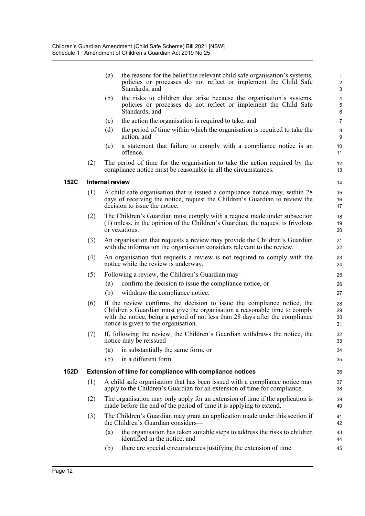|             |     | (a)                    | the reasons for the belief the relevant child safe organisation's systems,<br>policies or processes do not reflect or implement the Child Safe<br>Standards, and                                                                                                               | $\mathbf{1}$<br>$\sqrt{2}$<br>$\mathbf{3}$ |
|-------------|-----|------------------------|--------------------------------------------------------------------------------------------------------------------------------------------------------------------------------------------------------------------------------------------------------------------------------|--------------------------------------------|
|             |     | (b)                    | the risks to children that arise because the organisation's systems,<br>policies or processes do not reflect or implement the Child Safe<br>Standards, and                                                                                                                     | $\pmb{4}$<br>$\mathbf 5$<br>$\,6\,$        |
|             |     | (c)                    | the action the organisation is required to take, and                                                                                                                                                                                                                           | $\overline{7}$                             |
|             |     | (d)                    | the period of time within which the organisation is required to take the<br>action, and                                                                                                                                                                                        | 8<br>9                                     |
|             |     | (e)                    | a statement that failure to comply with a compliance notice is an<br>offence.                                                                                                                                                                                                  | 10<br>11                                   |
|             | (2) |                        | The period of time for the organisation to take the action required by the<br>compliance notice must be reasonable in all the circumstances.                                                                                                                                   | 12<br>13                                   |
| <b>152C</b> |     | <b>Internal review</b> |                                                                                                                                                                                                                                                                                | 14                                         |
|             | (1) |                        | A child safe organisation that is issued a compliance notice may, within 28<br>days of receiving the notice, request the Children's Guardian to review the<br>decision to issue the notice.                                                                                    | 15<br>16<br>17                             |
|             | (2) |                        | The Children's Guardian must comply with a request made under subsection<br>(1) unless, in the opinion of the Children's Guardian, the request is frivolous<br>or vexatious.                                                                                                   | 18<br>19<br>20                             |
|             | (3) |                        | An organisation that requests a review may provide the Children's Guardian<br>with the information the organisation considers relevant to the review.                                                                                                                          | 21<br>22                                   |
|             | (4) |                        | An organisation that requests a review is not required to comply with the<br>notice while the review is underway.                                                                                                                                                              | 23<br>24                                   |
|             | (5) |                        | Following a review, the Children's Guardian may—                                                                                                                                                                                                                               | 25                                         |
|             |     | (a)                    | confirm the decision to issue the compliance notice, or                                                                                                                                                                                                                        | 26                                         |
|             |     | (b)                    | withdraw the compliance notice.                                                                                                                                                                                                                                                | 27                                         |
|             | (6) |                        | If the review confirms the decision to issue the compliance notice, the<br>Children's Guardian must give the organisation a reasonable time to comply<br>with the notice, being a period of not less than 28 days after the compliance<br>notice is given to the organisation. | 28<br>29<br>30<br>31                       |
|             | (7) |                        | If, following the review, the Children's Guardian withdraws the notice, the<br>notice may be reissued—                                                                                                                                                                         | 32<br>33                                   |
|             |     | (a)                    | in substantially the same form, or                                                                                                                                                                                                                                             | 34                                         |
|             |     | (b)                    | in a different form.                                                                                                                                                                                                                                                           | 35                                         |
| 152D        |     |                        | Extension of time for compliance with compliance notices                                                                                                                                                                                                                       | 36                                         |
|             | (1) |                        | A child safe organisation that has been issued with a compliance notice may<br>apply to the Children's Guardian for an extension of time for compliance.                                                                                                                       | 37<br>38                                   |
|             | (2) |                        | The organisation may only apply for an extension of time if the application is<br>made before the end of the period of time it is applying to extend.                                                                                                                          | 39<br>40                                   |
|             | (3) |                        | The Children's Guardian may grant an application made under this section if<br>the Children's Guardian considers—                                                                                                                                                              | 41<br>42                                   |
|             |     | (a)                    | the organisation has taken suitable steps to address the risks to children<br>identified in the notice, and                                                                                                                                                                    | 43<br>44                                   |
|             |     | (b)                    | there are special circumstances justifying the extension of time.                                                                                                                                                                                                              | 45                                         |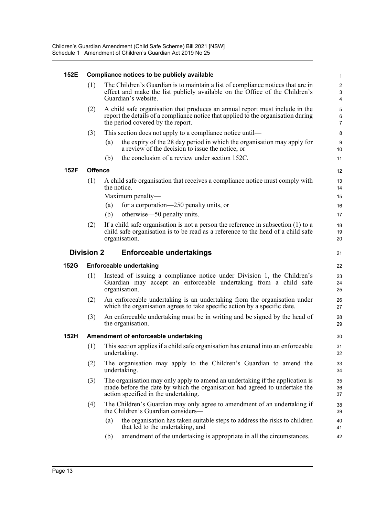| 152E        |                                                                                                                                                                                                               | Compliance notices to be publicly available                                                 | $\mathbf 1$                                                                                                                                                                                         |                                                               |  |
|-------------|---------------------------------------------------------------------------------------------------------------------------------------------------------------------------------------------------------------|---------------------------------------------------------------------------------------------|-----------------------------------------------------------------------------------------------------------------------------------------------------------------------------------------------------|---------------------------------------------------------------|--|
|             | (1)                                                                                                                                                                                                           |                                                                                             | The Children's Guardian is to maintain a list of compliance notices that are in<br>effect and make the list publicly available on the Office of the Children's<br>Guardian's website.               | $\overline{2}$<br>$\ensuremath{\mathsf{3}}$<br>$\overline{4}$ |  |
|             | (2)<br>A child safe organisation that produces an annual report must include in the<br>report the details of a compliance notice that applied to the organisation during<br>the period covered by the report. |                                                                                             |                                                                                                                                                                                                     |                                                               |  |
|             | (3)                                                                                                                                                                                                           |                                                                                             | This section does not apply to a compliance notice until—                                                                                                                                           | 8                                                             |  |
|             |                                                                                                                                                                                                               | (a)                                                                                         | the expiry of the 28 day period in which the organisation may apply for<br>a review of the decision to issue the notice, or                                                                         | 9<br>10                                                       |  |
|             |                                                                                                                                                                                                               | (b)                                                                                         | the conclusion of a review under section 152C.                                                                                                                                                      | 11                                                            |  |
| 152F        | <b>Offence</b>                                                                                                                                                                                                |                                                                                             |                                                                                                                                                                                                     | 12                                                            |  |
|             | (1)                                                                                                                                                                                                           | A child safe organisation that receives a compliance notice must comply with<br>the notice. |                                                                                                                                                                                                     |                                                               |  |
|             |                                                                                                                                                                                                               |                                                                                             | Maximum penalty-                                                                                                                                                                                    | 15                                                            |  |
|             |                                                                                                                                                                                                               | (a)<br>(b)                                                                                  | for a corporation—250 penalty units, or<br>otherwise—50 penalty units.                                                                                                                              | 16<br>17                                                      |  |
|             | (2)                                                                                                                                                                                                           |                                                                                             | If a child safe organisation is not a person the reference in subsection $(1)$ to a                                                                                                                 | 18                                                            |  |
|             |                                                                                                                                                                                                               |                                                                                             | child safe organisation is to be read as a reference to the head of a child safe                                                                                                                    | 19                                                            |  |
|             |                                                                                                                                                                                                               |                                                                                             | organisation.                                                                                                                                                                                       | 20                                                            |  |
|             | <b>Division 2</b>                                                                                                                                                                                             |                                                                                             | <b>Enforceable undertakings</b>                                                                                                                                                                     | 21                                                            |  |
|             |                                                                                                                                                                                                               |                                                                                             |                                                                                                                                                                                                     |                                                               |  |
| <b>152G</b> |                                                                                                                                                                                                               |                                                                                             | <b>Enforceable undertaking</b>                                                                                                                                                                      | 22                                                            |  |
|             | (1)                                                                                                                                                                                                           |                                                                                             | Instead of issuing a compliance notice under Division 1, the Children's<br>Guardian may accept an enforceable undertaking from a child safe<br>organisation.                                        | 23<br>24<br>25                                                |  |
|             | (2)                                                                                                                                                                                                           |                                                                                             | An enforceable undertaking is an undertaking from the organisation under<br>which the organisation agrees to take specific action by a specific date.                                               | 26<br>27                                                      |  |
|             | (3)                                                                                                                                                                                                           |                                                                                             | An enforceable undertaking must be in writing and be signed by the head of<br>the organisation.                                                                                                     | 28<br>29                                                      |  |
| 152H        |                                                                                                                                                                                                               |                                                                                             | Amendment of enforceable undertaking                                                                                                                                                                | 30                                                            |  |
|             | (1)                                                                                                                                                                                                           |                                                                                             | This section applies if a child safe organisation has entered into an enforceable<br>undertaking.                                                                                                   | 31<br>32                                                      |  |
|             | (2)                                                                                                                                                                                                           |                                                                                             | The organisation may apply to the Children's Guardian to amend the<br>undertaking.                                                                                                                  | 33<br>34                                                      |  |
|             | (3)                                                                                                                                                                                                           |                                                                                             | The organisation may only apply to amend an undertaking if the application is<br>made before the date by which the organisation had agreed to undertake the<br>action specified in the undertaking. | 35<br>36<br>37                                                |  |
|             | (4)                                                                                                                                                                                                           |                                                                                             | The Children's Guardian may only agree to amendment of an undertaking if<br>the Children's Guardian considers—                                                                                      | 38<br>39                                                      |  |
|             |                                                                                                                                                                                                               | (a)                                                                                         | the organisation has taken suitable steps to address the risks to children<br>that led to the undertaking, and                                                                                      | 40<br>41                                                      |  |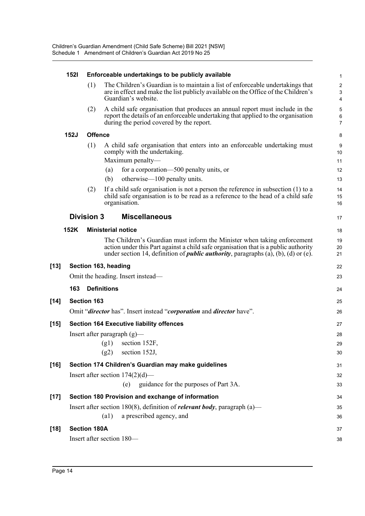|        | <b>1521</b> |                     | Enforceable undertakings to be publicly available                                                                                                                                                                                                             |                                                           |  |  |
|--------|-------------|---------------------|---------------------------------------------------------------------------------------------------------------------------------------------------------------------------------------------------------------------------------------------------------------|-----------------------------------------------------------|--|--|
|        |             | (1)                 | The Children's Guardian is to maintain a list of enforceable undertakings that<br>are in effect and make the list publicly available on the Office of the Children's<br>Guardian's website.                                                                   | $\overline{\mathbf{c}}$<br>$\ensuremath{\mathsf{3}}$<br>4 |  |  |
|        |             | (2)                 | A child safe organisation that produces an annual report must include in the<br>report the details of an enforceable undertaking that applied to the organisation<br>during the period covered by the report.                                                 | 5<br>6<br>$\overline{7}$                                  |  |  |
|        | <b>152J</b> | <b>Offence</b>      |                                                                                                                                                                                                                                                               | 8                                                         |  |  |
|        |             | (1)                 | A child safe organisation that enters into an enforceable undertaking must<br>comply with the undertaking.<br>Maximum penalty-                                                                                                                                | 9<br>10<br>11                                             |  |  |
|        |             |                     | for a corporation—500 penalty units, or<br>(a)                                                                                                                                                                                                                | 12                                                        |  |  |
|        |             |                     | otherwise—100 penalty units.<br>(b)                                                                                                                                                                                                                           | 13                                                        |  |  |
|        |             | (2)                 | If a child safe organisation is not a person the reference in subsection $(1)$ to a<br>child safe organisation is to be read as a reference to the head of a child safe<br>organisation.                                                                      | 14<br>15<br>16                                            |  |  |
|        |             | <b>Division 3</b>   | <b>Miscellaneous</b>                                                                                                                                                                                                                                          | 17                                                        |  |  |
|        | 152K        |                     | <b>Ministerial notice</b>                                                                                                                                                                                                                                     | 18                                                        |  |  |
|        |             |                     | The Children's Guardian must inform the Minister when taking enforcement<br>action under this Part against a child safe organisation that is a public authority<br>under section 14, definition of <i>public authority</i> , paragraphs (a), (b), (d) or (e). | 19<br>20<br>21                                            |  |  |
| $[13]$ |             |                     | Section 163, heading                                                                                                                                                                                                                                          | 22                                                        |  |  |
|        |             |                     | Omit the heading. Insert instead—                                                                                                                                                                                                                             | 23                                                        |  |  |
|        | 163         |                     | <b>Definitions</b>                                                                                                                                                                                                                                            | 24                                                        |  |  |
| $[14]$ |             | <b>Section 163</b>  |                                                                                                                                                                                                                                                               | 25                                                        |  |  |
|        |             |                     | Omit "director has". Insert instead "corporation and director have".                                                                                                                                                                                          | 26                                                        |  |  |
| $[15]$ |             |                     | <b>Section 164 Executive liability offences</b>                                                                                                                                                                                                               | 27                                                        |  |  |
|        |             |                     | Insert after paragraph $(g)$ —                                                                                                                                                                                                                                | 28                                                        |  |  |
|        |             |                     | $(g1)$ section 152F,                                                                                                                                                                                                                                          | 29                                                        |  |  |
|        |             |                     | (g2)<br>section 152J,                                                                                                                                                                                                                                         | 30                                                        |  |  |
| $[16]$ |             |                     | Section 174 Children's Guardian may make guidelines                                                                                                                                                                                                           | 31                                                        |  |  |
|        |             |                     | Insert after section $174(2)(d)$ —                                                                                                                                                                                                                            | 32                                                        |  |  |
|        |             |                     | (e) guidance for the purposes of Part 3A.                                                                                                                                                                                                                     | 33                                                        |  |  |
| $[17]$ |             |                     | Section 180 Provision and exchange of information                                                                                                                                                                                                             | 34                                                        |  |  |
|        |             |                     | Insert after section 180(8), definition of <i>relevant body</i> , paragraph (a)—                                                                                                                                                                              | 35                                                        |  |  |
|        |             |                     | a prescribed agency, and<br>(a1)                                                                                                                                                                                                                              | 36                                                        |  |  |
| $[18]$ |             | <b>Section 180A</b> |                                                                                                                                                                                                                                                               | 37                                                        |  |  |
|        |             |                     | Insert after section 180-                                                                                                                                                                                                                                     | 38                                                        |  |  |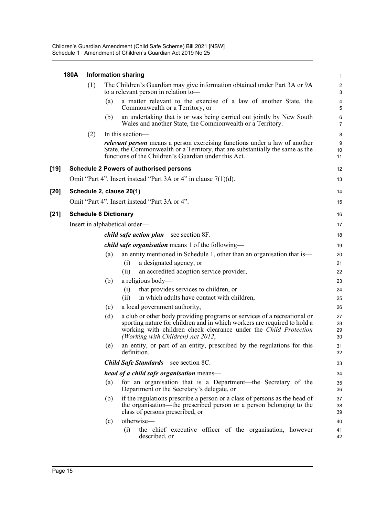|        | 180A |                              |     | <b>Information sharing</b>                                                                                                                                                                                                                                    | $\mathbf 1$                                   |
|--------|------|------------------------------|-----|---------------------------------------------------------------------------------------------------------------------------------------------------------------------------------------------------------------------------------------------------------------|-----------------------------------------------|
|        |      | (1)                          |     | The Children's Guardian may give information obtained under Part 3A or 9A<br>to a relevant person in relation to-                                                                                                                                             | $\boldsymbol{2}$<br>$\ensuremath{\mathsf{3}}$ |
|        |      |                              | (a) | a matter relevant to the exercise of a law of another State, the<br>Commonwealth or a Territory, or                                                                                                                                                           | 4<br>5                                        |
|        |      |                              | (b) | an undertaking that is or was being carried out jointly by New South<br>Wales and another State, the Commonwealth or a Territory.                                                                                                                             | 6<br>$\overline{7}$                           |
|        |      | (2)                          |     | In this section-                                                                                                                                                                                                                                              | 8                                             |
|        |      |                              |     | <i>relevant person</i> means a person exercising functions under a law of another<br>State, the Commonwealth or a Territory, that are substantially the same as the<br>functions of the Children's Guardian under this Act.                                   | 9<br>10<br>11                                 |
| $[19]$ |      |                              |     | <b>Schedule 2 Powers of authorised persons</b>                                                                                                                                                                                                                | 12                                            |
|        |      |                              |     | Omit "Part 4". Insert instead "Part 3A or 4" in clause $7(1)(d)$ .                                                                                                                                                                                            | 13                                            |
| $[20]$ |      |                              |     | Schedule 2, clause 20(1)                                                                                                                                                                                                                                      | 14                                            |
|        |      |                              |     | Omit "Part 4". Insert instead "Part 3A or 4".                                                                                                                                                                                                                 | 15                                            |
|        |      |                              |     |                                                                                                                                                                                                                                                               |                                               |
| $[21]$ |      | <b>Schedule 6 Dictionary</b> |     |                                                                                                                                                                                                                                                               | 16                                            |
|        |      |                              |     | Insert in alphabetical order—                                                                                                                                                                                                                                 | 17                                            |
|        |      |                              |     | <i>child safe action plan—see section 8F.</i>                                                                                                                                                                                                                 | 18                                            |
|        |      |                              |     | <i>child safe organisation</i> means 1 of the following—                                                                                                                                                                                                      | 19                                            |
|        |      |                              | (a) | an entity mentioned in Schedule 1, other than an organisation that is—                                                                                                                                                                                        | 20                                            |
|        |      |                              |     | a designated agency, or<br>(i)<br>an accredited adoption service provider,<br>(ii)                                                                                                                                                                            | 21<br>22                                      |
|        |      |                              | (b) | a religious body-                                                                                                                                                                                                                                             | 23                                            |
|        |      |                              |     | that provides services to children, or<br>(i)                                                                                                                                                                                                                 | 24                                            |
|        |      |                              |     | in which adults have contact with children,<br>(ii)                                                                                                                                                                                                           | 25                                            |
|        |      |                              | (c) | a local government authority,                                                                                                                                                                                                                                 | 26                                            |
|        |      |                              | (d) | a club or other body providing programs or services of a recreational or<br>sporting nature for children and in which workers are required to hold a<br>working with children check clearance under the Child Protection<br>(Working with Children) Act 2012, | 27<br>28<br>29<br>30                          |
|        |      |                              | (e) | an entity, or part of an entity, prescribed by the regulations for this<br>definition.                                                                                                                                                                        | 31<br>32                                      |
|        |      |                              |     | <b>Child Safe Standards—see section 8C.</b>                                                                                                                                                                                                                   | 33                                            |
|        |      |                              |     | <i>head of a child safe organisation</i> means—                                                                                                                                                                                                               | 34                                            |
|        |      |                              | (a) | for an organisation that is a Department—the Secretary of the<br>Department or the Secretary's delegate, or                                                                                                                                                   | 35<br>36                                      |
|        |      |                              | (b) | if the regulations prescribe a person or a class of persons as the head of<br>the organisation—the prescribed person or a person belonging to the<br>class of persons prescribed, or                                                                          | 37<br>38<br>39                                |
|        |      |                              | (c) | otherwise-                                                                                                                                                                                                                                                    | 40                                            |
|        |      |                              |     | the chief executive officer of the organisation, however<br>(i)<br>described, or                                                                                                                                                                              | 41<br>42                                      |